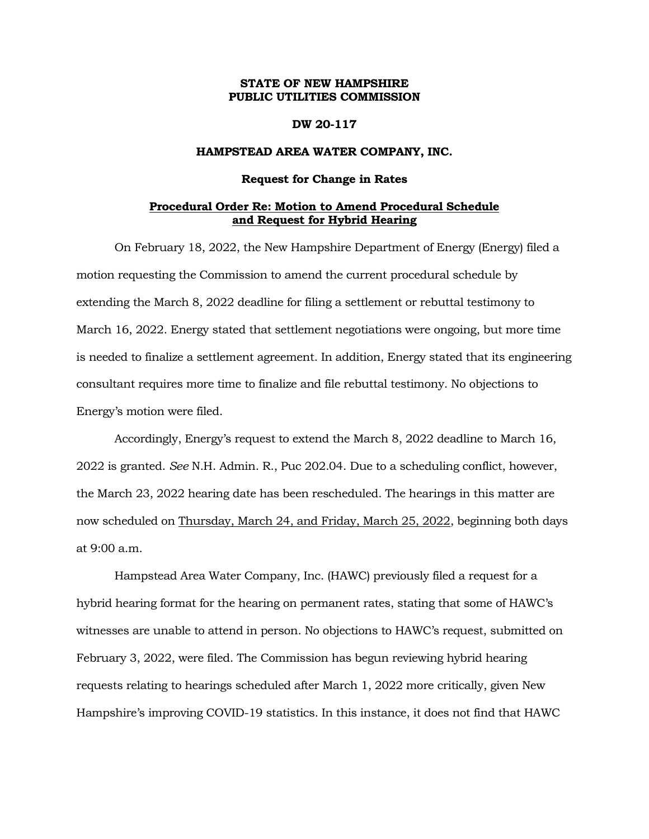# **STATE OF NEW HAMPSHIRE PUBLIC UTILITIES COMMISSION**

## **DW 20-117**

# **HAMPSTEAD AREA WATER COMPANY, INC.**

#### **Request for Change in Rates**

## **Procedural Order Re: Motion to Amend Procedural Schedule and Request for Hybrid Hearing**

On February 18, 2022, the New Hampshire Department of Energy (Energy) filed a motion requesting the Commission to amend the current procedural schedule by extending the March 8, 2022 deadline for filing a settlement or rebuttal testimony to March 16, 2022. Energy stated that settlement negotiations were ongoing, but more time is needed to finalize a settlement agreement. In addition, Energy stated that its engineering consultant requires more time to finalize and file rebuttal testimony. No objections to Energy's motion were filed.

Accordingly, Energy's request to extend the March 8, 2022 deadline to March 16, 2022 is granted. *See* N.H. Admin. R., Puc 202.04. Due to a scheduling conflict, however, the March 23, 2022 hearing date has been rescheduled. The hearings in this matter are now scheduled on Thursday, March 24, and Friday, March 25, 2022, beginning both days at 9:00 a.m.

Hampstead Area Water Company, Inc. (HAWC) previously filed a request for a hybrid hearing format for the hearing on permanent rates, stating that some of HAWC's witnesses are unable to attend in person. No objections to HAWC's request, submitted on February 3, 2022, were filed. The Commission has begun reviewing hybrid hearing requests relating to hearings scheduled after March 1, 2022 more critically, given New Hampshire's improving COVID-19 statistics. In this instance, it does not find that HAWC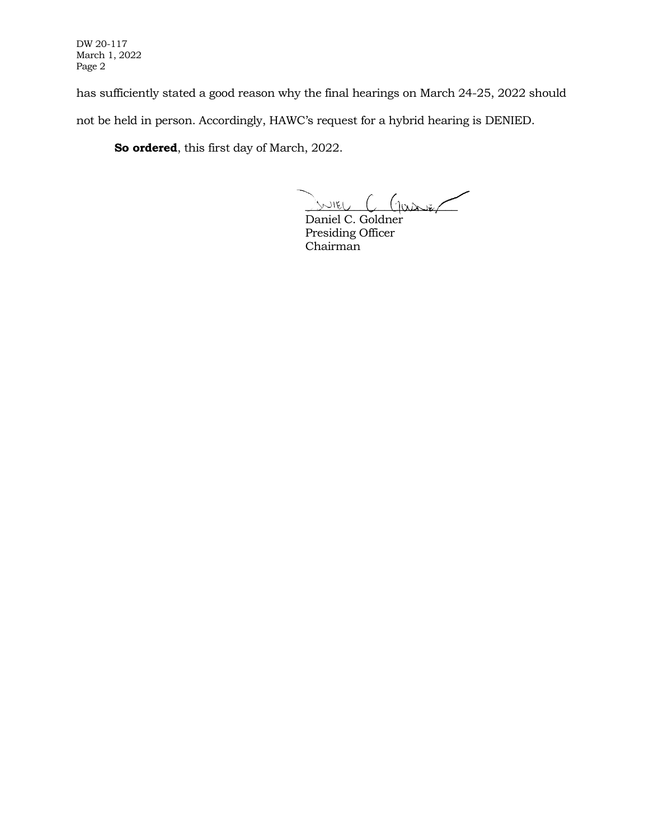DW 20-117 March 1, 2022 Page 2

has sufficiently stated a good reason why the final hearings on March 24-25, 2022 should not be held in person. Accordingly, HAWC's request for a hybrid hearing is DENIED.

**So ordered**, this first day of March, 2022.

 $S$ NIEU  $C$  (passer

Daniel C. Goldner Presiding Officer Chairman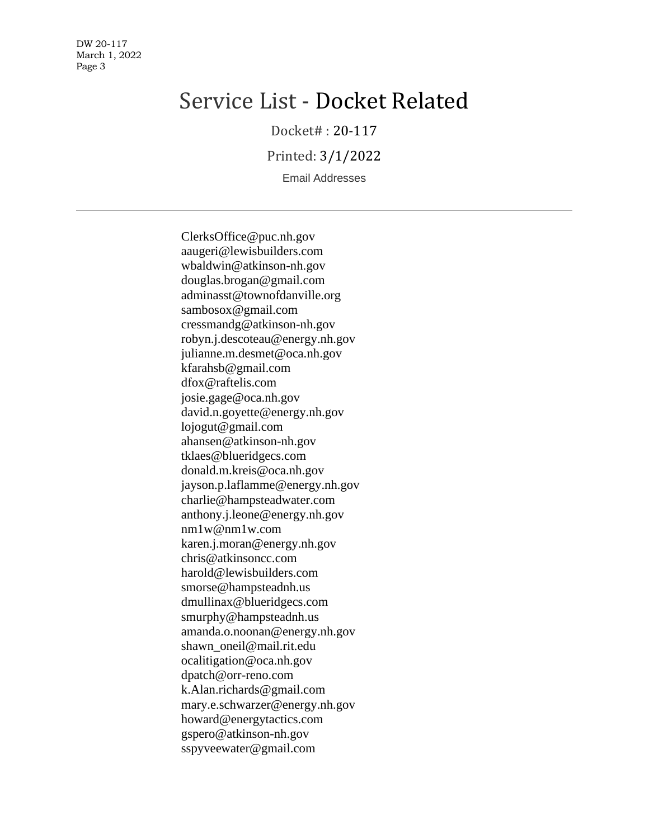DW 20-117 March 1, 2022 Page 3

# Service List - Docket Related

Docket# : 20-117

Printed: 3/1/2022

Email Addresses

ClerksOffice@puc.nh.gov aaugeri@lewisbuilders.com wbaldwin@atkinson-nh.gov douglas.brogan@gmail.com adminasst@townofdanville.org sambosox@gmail.com cressmandg@atkinson-nh.gov robyn.j.descoteau@energy.nh.gov julianne.m.desmet@oca.nh.gov kfarahsb@gmail.com dfox@raftelis.com josie.gage@oca.nh.gov david.n.goyette@energy.nh.gov lojogut@gmail.com ahansen@atkinson-nh.gov tklaes@blueridgecs.com donald.m.kreis@oca.nh.gov jayson.p.laflamme@energy.nh.gov charlie@hampsteadwater.com anthony.j.leone@energy.nh.gov nm1w@nm1w.com karen.j.moran@energy.nh.gov chris@atkinsoncc.com harold@lewisbuilders.com smorse@hampsteadnh.us dmullinax@blueridgecs.com smurphy@hampsteadnh.us amanda.o.noonan@energy.nh.gov shawn\_oneil@mail.rit.edu ocalitigation@oca.nh.gov dpatch@orr-reno.com k.Alan.richards@gmail.com mary.e.schwarzer@energy.nh.gov howard@energytactics.com gspero@atkinson-nh.gov sspyveewater@gmail.com